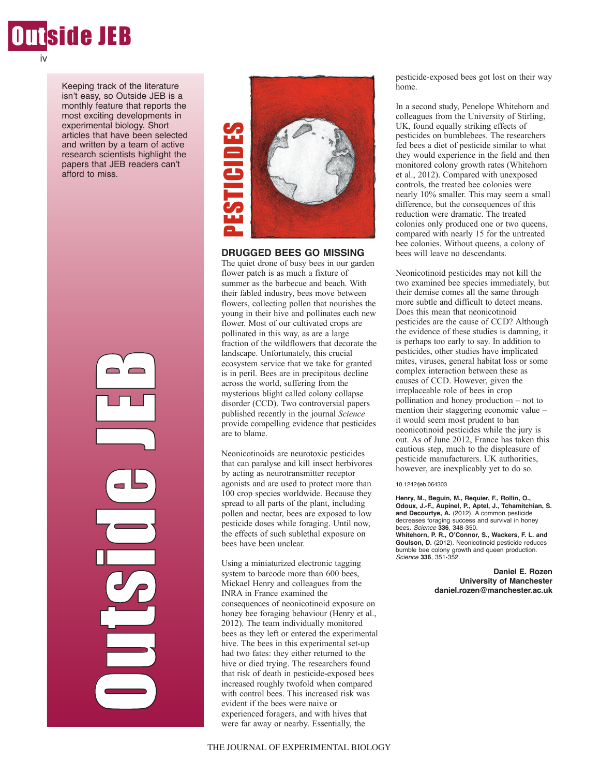

Keeping track of the literature isn't easy, so Outside JEB is a monthly feature that reports the most exciting developments in experimental biology. Short articles that have been selected and written by a team of active research scientists highlight the papers that JEB readers can't afford to miss.

> Ol<br>U t $\mathcal{C}_{\mathcal{P}}$ in 1999.<br>Provincia de la contrada de la contrada de la contrada de la contrada de la contrada de la contrada de la cont de J E**P**



**DRUGGED BEES GO MISSING**

The quiet drone of busy bees in our garden flower patch is as much a fixture of summer as the barbecue and beach. With their fabled industry, bees move between flowers, collecting pollen that nourishes the young in their hive and pollinates each new flower. Most of our cultivated crops are pollinated in this way, as are a large fraction of the wildflowers that decorate the landscape. Unfortunately, this crucial ecosystem service that we take for granted is in peril. Bees are in precipitous decline across the world, suffering from the mysterious blight called colony collapse disorder (CCD). Two controversial papers published recently in the journal *Science* provide compelling evidence that pesticides are to blame. Were the state of the best away as a more far away or nearbor of the best away or near away or the quiet drone of busy bees no use alternal flower path is as much a fixture of their fabled industry, bees move betweer dower

Neonicotinoids are neurotoxic pesticides that can paralyse and kill insect herbivores by acting as neurotransmitter receptor agonists and are used to protect more than 100 crop species worldwide. Because they spread to all parts of the plant, including pollen and nectar, bees are exposed to low pesticide doses while foraging. Until now, the effects of such sublethal exposure on bees have been unclear.

Using a miniaturized electronic tagging system to barcode more than 600 bees, Mickael Henry and colleagues from the INRA in France examined the consequences of neonicotinoid exposure on honey bee foraging behaviour (Henry et al., 2012). The team individually monitored bees as they left or entered the experimental hive. The bees in this experimental set-up had two fates: they either returned to the hive or died trying. The researchers found that risk of death in pesticide-exposed bees increased roughly twofold when compared with control bees. This increased risk was evident if the bees were naive or experienced foragers, and with hives that

pesticide-exposed bees got lost on their way home.

In a second study, Penelope Whitehorn and colleagues from the University of Stirling, UK, found equally striking effects of pesticides on bumblebees. The researchers fed bees a diet of pesticide similar to what they would experience in the field and then monitored colony growth rates (Whitehorn et al., 2012). Compared with unexposed controls, the treated bee colonies were nearly 10% smaller. This may seem a small difference, but the consequences of this reduction were dramatic. The treated colonies only produced one or two queens, compared with nearly 15 for the untreated bee colonies. Without queens, a colony of bees will leave no descendants.

Neonicotinoid pesticides may not kill the two examined bee species immediately, but their demise comes all the same through more subtle and difficult to detect means. Does this mean that neonicotinoid pesticides are the cause of CCD? Although the evidence of these studies is damning, it is perhaps too early to say. In addition to pesticides, other studies have implicated mites, viruses, general habitat loss or some complex interaction between these as causes of CCD. However, given the irreplaceable role of bees in crop pollination and honey production – not to mention their staggering economic value – it would seem most prudent to ban neonicotinoid pesticides while the jury is out. As of June 2012, France has taken this cautious step, much to the displeasure of pesticide manufacturers. UK authorities, however, are inexplicably yet to do so.

10.1242/jeb.064303

**Henry, M., Beguin, M., Requier, F., Rollin, O., Odoux, J.-F., Aupinel, P., Aptel, J., Tchamitchian, S. and Decourtye, A.** (2012). A common pesticide decreases foraging success and survival in honey bees. *Science* **336**, 348-350. **Whitehorn, P. R., O'Connor, S., Wackers, F. L. and Goulson, D.** (2012). Neonicotinoid pesticide reduces bumble bee colony growth and queen production. *Science* **336**, 351-352.

> **Daniel E. Rozen University of Manchester daniel.rozen@manchester.ac.uk**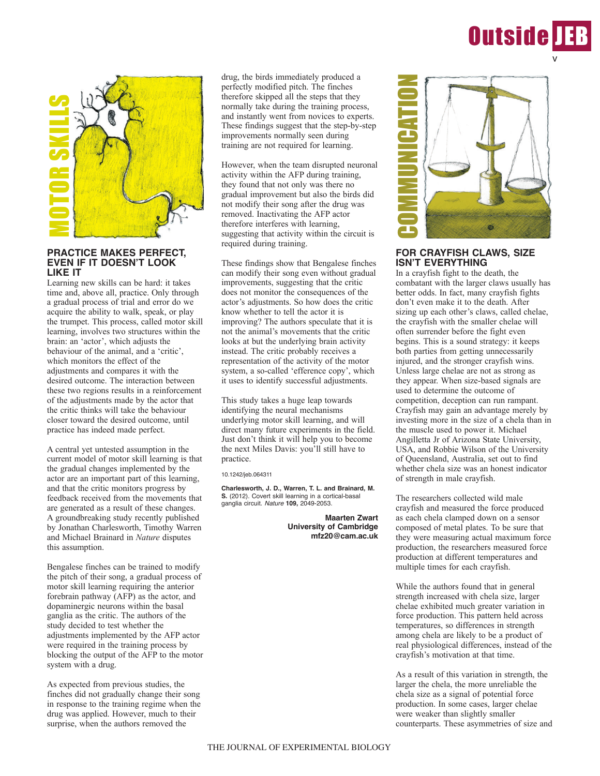



## **PRACTICE MAKES PERFECT, EVEN IF IT DOESN'T LOOK LIKE IT**

Learning new skills can be hard: it takes time and, above all, practice. Only through a gradual process of trial and error do we acquire the ability to walk, speak, or play the trumpet. This process, called motor skill learning, involves two structures within the brain: an 'actor', which adjusts the behaviour of the animal, and a 'critic', which monitors the effect of the adjustments and compares it with the desired outcome. The interaction between these two regions results in a reinforcement of the adjustments made by the actor that the critic thinks will take the behaviour closer toward the desired outcome, until practice has indeed made perfect.

A central yet untested assumption in the current model of motor skill learning is that the gradual changes implemented by the actor are an important part of this learning, and that the critic monitors progress by feedback received from the movements that are generated as a result of these changes. A groundbreaking study recently published by Jonathan Charlesworth, Timothy Warren and Michael Brainard in *Nature* disputes this assumption.

Bengalese finches can be trained to modify the pitch of their song, a gradual process of motor skill learning requiring the anterior forebrain pathway (AFP) as the actor, and dopaminergic neurons within the basal ganglia as the critic. The authors of the study decided to test whether the adjustments implemented by the AFP actor were required in the training process by blocking the output of the AFP to the motor system with a drug.

As expected from previous studies, the finches did not gradually change their song in response to the training regime when the drug was applied. However, much to their surprise, when the authors removed the

drug, the birds immediately produced a perfectly modified pitch. The finches therefore skipped all the steps that they normally take during the training process, and instantly went from novices to experts. These findings suggest that the step-by-step improvements normally seen during training are not required for learning.

However, when the team disrupted neuronal activity within the AFP during training, they found that not only was there no gradual improvement but also the birds did not modify their song after the drug was removed. Inactivating the AFP actor therefore interferes with learning, suggesting that activity within the circuit is required during training.

These findings show that Bengalese finches can modify their song even without gradual improvements, suggesting that the critic does not monitor the consequences of the actor's adjustments. So how does the critic know whether to tell the actor it is improving? The authors speculate that it is not the animal's movements that the critic looks at but the underlying brain activity instead. The critic probably receives a representation of the activity of the motor system, a so-called 'efference copy', which it uses to identify successful adjustments.

This study takes a huge leap towards identifying the neural mechanisms underlying motor skill learning, and will direct many future experiments in the field. Just don't think it will help you to become the next Miles Davis: you'll still have to practice.

10.1242/jeb.064311

**Charlesworth, J. D., Warren, T. L. and Brainard, M. S.** (2012). Covert skill learning in a cortical-basal ganglia circuit. *Nature* **109,** 2049-2053.

> **Maarten Zwart University of Cambridge mfz20@cam.ac.uk**



# **FOR CRAYFISH CLAWS, SIZE ISN'T EVERYTHING**

In a crayfish fight to the death, the combatant with the larger claws usually has better odds. In fact, many crayfish fights don't even make it to the death. After sizing up each other's claws, called chelae, the crayfish with the smaller chelae will often surrender before the fight even begins. This is a sound strategy: it keeps both parties from getting unnecessarily injured, and the stronger crayfish wins. Unless large chelae are not as strong as they appear. When size-based signals are used to determine the outcome of competition, deception can run rampant. Crayfish may gain an advantage merely by investing more in the size of a chela than in the muscle used to power it. Michael Angilletta Jr of Arizona State University, USA, and Robbie Wilson of the University of Queensland, Australia, set out to find whether chela size was an honest indicator of strength in male crayfish.

The researchers collected wild male crayfish and measured the force produced as each chela clamped down on a sensor composed of metal plates. To be sure that they were measuring actual maximum force production, the researchers measured force production at different temperatures and multiple times for each crayfish.

While the authors found that in general strength increased with chela size, larger chelae exhibited much greater variation in force production. This pattern held across temperatures, so differences in strength among chela are likely to be a product of real physiological differences, instead of the crayfish's motivation at that time.

As a result of this variation in strength, the larger the chela, the more unreliable the chela size as a signal of potential force production. In some cases, larger chelae were weaker than slightly smaller counterparts. These asymmetries of size and